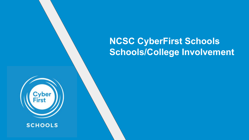# **NCSC CyberFirst Schools Schools/College Involvement**



**SCHOOLS**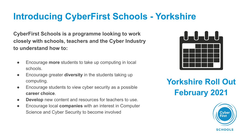## **Introducing CyberFirst Schools - Yorkshire**

**CyberFirst Schools is a programme looking to work closely with schools, teachers and the Cyber Industry to understand how to:**

- Encourage **more** students to take up computing in local schools.
- Encourage greater **diversity** in the students taking up computing.
- Encourage students to view cyber security as a possible **career choice**.
- **Develop** new content and resources for teachers to use.
- Encourage local **companies** with an interest in Computer Science and Cyber Security to become involved



#### **Yorkshire Roll Out February 2021**

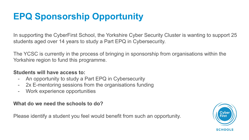# **EPQ Sponsorship Opportunity**

In supporting the CyberFirst School, the Yorkshire Cyber Security Cluster is wanting to support 25 students aged over 14 years to study a Part EPQ in Cybersecurity.

The YCSC is currently in the process of bringing in sponsorship from organisations within the Yorkshire region to fund this programme.

#### **Students will have access to:**

- An opportunity to study a Part EPQ in Cybersecurity
- 2x E-mentoring sessions from the organisations funding
- Work experience opportunities

**What do we need the schools to do?**

Please identify a student you feel would benefit from such an opportunity.

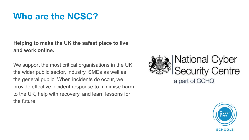## **Who are the NCSC?**

**Helping to make the UK the safest place to live and work online.**

We support the most critical organisations in the UK, the wider public sector, industry, SMEs as well as the general public. When incidents do occur, we provide effective incident response to minimise harm to the UK, help with recovery, and learn lessons for the future.



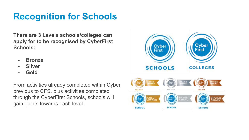### **Recognition for Schools**

**There are 3 Levels schools/colleges can apply for to be recognised by CyberFirst Schools:**

- **- Bronze**
- **- Silver**
- **- Gold**

From activities already completed within Cyber previous to CFS, plus activities completed through the CyberFirst Schools, schools will gain points towards each level.

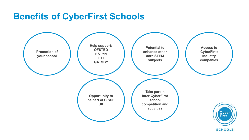#### **Benefits of CyberFirst Schools**



**SCHOOLS**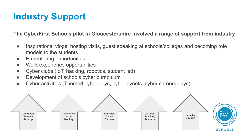# **Industry Support**

**The CyberFirst Schools pilot in Gloucestershire involved a range of support from industry:**

- Inspirational vlogs, hosting visits, guest speaking at schools/colleges and becoming role models to the students
- E-mentoring opportunities
- Work experience opportunities
- Cyber clubs (IoT, hacking, robotics, student led)
- Development of schools cyber curriculum
- Cyber activities (Themed cyber days, cyber events, cyber careers days)

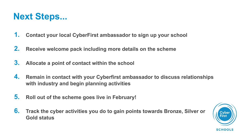

- **1. Contact your local CyberFirst ambassador to sign up your school**
- **2. Receive welcome pack including more details on the scheme**
- **3. Allocate a point of contact within the school**
- **4. Remain in contact with your Cyberfirst ambassador to discuss relationships with industry and begin planning activities**
- **5. Roll out of the scheme goes live in February!**
- **6. Track the cyber activities you do to gain points towards Bronze, Silver or Gold status**